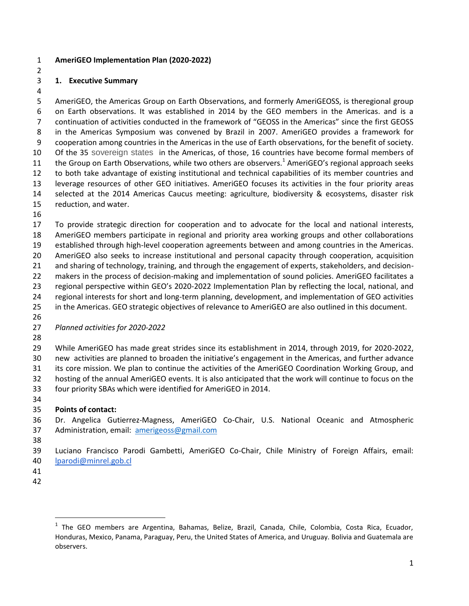#### **AmeriGEO Implementation Plan (2020-2022)**

## **1. Executive Summary**

 AmeriGEO, the Americas Group on Earth Observations, and formerly AmeriGEOSS, is theregional group on Earth observations. It was established in 2014 by the GEO members in the Americas. and is a continuation of activities conducted in the framework of "GEOSS in the Americas" since the first GEOSS in the Americas Symposium was convened by Brazil in 2007. AmeriGEO provides a framework for cooperation among countries in the Americas in the use of Earth observations, for the benefit of society. Of the 35 sovereign states in the Americas, of those, 16 countries have become formal members of 11 the Group on Earth Observations, while two others are observers.<sup>1</sup> AmeriGEO's regional approach seeks to both take advantage of existing institutional and technical capabilities of its member countries and leverage resources of other GEO initiatives. AmeriGEO focuses its activities in the four priority areas selected at the 2014 Americas Caucus meeting: agriculture, biodiversity & ecosystems, disaster risk reduction, and water.

 To provide strategic direction for cooperation and to advocate for the local and national interests, AmeriGEO members participate in regional and priority area working groups and other collaborations established through high-level cooperation agreements between and among countries in the Americas. AmeriGEO also seeks to increase institutional and personal capacity through cooperation, acquisition and sharing of technology, training, and through the engagement of experts, stakeholders, and decision-22 makers in the process of decision-making and implementation of sound policies. AmeriGEO facilitates a regional perspective within GEO's 2020-2022 Implementation Plan by reflecting the local, national, and regional interests for short and long-term planning, development, and implementation of GEO activities

- in the Americas. GEO strategic objectives of relevance to AmeriGEO are also outlined in this document.
- 

## *Planned activities for 2020-2022*

While AmeriGEO has made great strides since its establishment in 2014, through 2019, for 2020-2022,

new activities are planned to broaden the initiative's engagement in the Americas, and further advance

 its core mission. We plan to continue the activities of the AmeriGEO Coordination Working Group, and hosting of the annual AmeriGEO events. It is also anticipated that the work will continue to focus on the

- four priority SBAs which were identified for AmeriGEO in 2014.
- 

# **Points of contact:**

 Dr. Angelica Gutierrez-Magness, AmeriGEO Co-Chair, U.S. National Oceanic and Atmospheric Administration, email: [amerigeoss@gmail.com](mailto:amerigeoss@gmail.com)

 Luciano Francisco Parodi Gambetti, AmeriGEO Co-Chair, Chile Ministry of Foreign Affairs, email: [lparodi@minrel.gob.cl](mailto:lparodi@minrel.gob.cl)

- 
- 

 $\overline{\phantom{a}}$ 

<sup>&</sup>lt;sup>1</sup> The GEO members are Argentina, Bahamas, Belize, Brazil, Canada, Chile, Colombia, Costa Rica, Ecuador, Honduras, Mexico, Panama, Paraguay, Peru, the United States of America, and Uruguay. Bolivia and Guatemala are observers.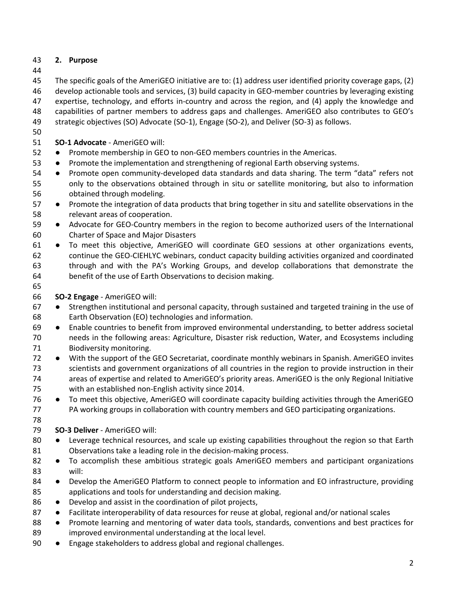## **2. Purpose**

 The specific goals of the AmeriGEO initiative are to: (1) address user identified priority coverage gaps, (2) develop actionable tools and services, (3) build capacity in GEO-member countries by leveraging existing expertise, technology, and efforts in-country and across the region, and (4) apply the knowledge and

capabilities of partner members to address gaps and challenges. AmeriGEO also contributes to GEO's

strategic objectives (SO) Advocate (SO-1), Engage (SO-2), and Deliver (SO-3) as follows.

**SO-1 Advocate** - AmeriGEO will:

- Promote membership in GEO to non-GEO members countries in the Americas.
- Promote the implementation and strengthening of regional Earth observing systems.
- Promote open community-developed data standards and data sharing. The term "data" refers not only to the observations obtained through in situ or satellite monitoring, but also to information obtained through modeling.
- Promote the integration of data products that bring together in situ and satellite observations in the relevant areas of cooperation.
- Advocate for GEO-Country members in the region to become authorized users of the International Charter of Space and Major Disasters
- To meet this objective, AmeriGEO will coordinate GEO sessions at other organizations events, continue the GEO-CIEHLYC webinars, conduct capacity building activities organized and coordinated through and with the PA's Working Groups, and develop collaborations that demonstrate the benefit of the use of Earth Observations to decision making.
- 

## **SO-2 Engage** - AmeriGEO will:

- Strengthen institutional and personal capacity, through sustained and targeted training in the use of Earth Observation (EO) technologies and information.
- Enable countries to benefit from improved environmental understanding, to better address societal needs in the following areas: Agriculture, Disaster risk reduction, Water, and Ecosystems including Biodiversity monitoring.
- With the support of the GEO Secretariat, coordinate monthly webinars in Spanish. AmeriGEO invites scientists and government organizations of all countries in the region to provide instruction in their areas of expertise and related to AmeriGEO's priority areas. AmeriGEO is the only Regional Initiative with an established non-English activity since 2014.
- To meet this objective, AmeriGEO will coordinate capacity building activities through the AmeriGEO PA working groups in collaboration with country members and GEO participating organizations.
- 

# **SO-3 Deliver** - AmeriGEO will:

- 80 Leverage technical resources, and scale up existing capabilities throughout the region so that Earth Observations take a leading role in the decision-making process.
- 82 To accomplish these ambitious strategic goals AmeriGEO members and participant organizations will:
- 84 Develop the AmeriGEO Platform to connect people to information and EO infrastructure, providing applications and tools for understanding and decision making.
- 86 Develop and assist in the coordination of pilot projects,
- 87 Facilitate interoperability of data resources for reuse at global, regional and/or national scales
- 88 Promote learning and mentoring of water data tools, standards, conventions and best practices for improved environmental understanding at the local level.
- 90 Engage stakeholders to address global and regional challenges.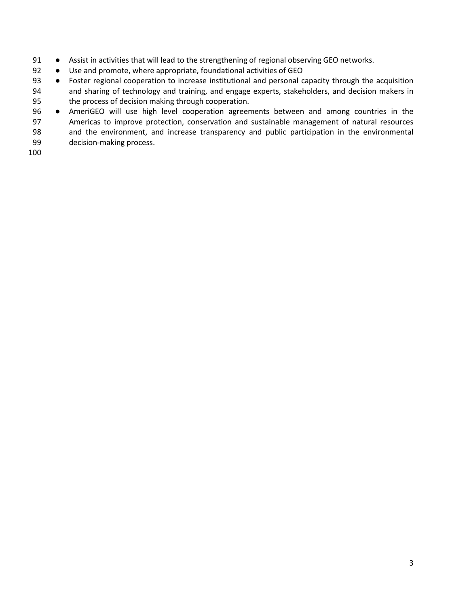- 91 Assist in activities that will lead to the strengthening of regional observing GEO networks.
- 92 Use and promote, where appropriate, foundational activities of GEO
- 93 Foster regional cooperation to increase institutional and personal capacity through the acquisition and sharing of technology and training, and engage experts, stakeholders, and decision makers in the process of decision making through cooperation.
- AmeriGEO will use high level cooperation agreements between and among countries in the Americas to improve protection, conservation and sustainable management of natural resources and the environment, and increase transparency and public participation in the environmental
- decision-making process.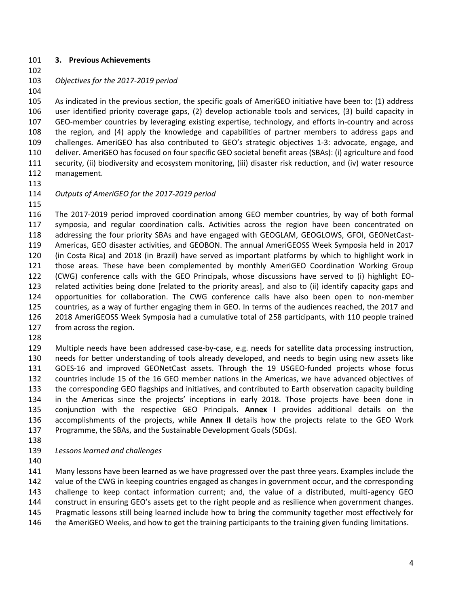#### **3. Previous Achievements**

*Objectives for the 2017-2019 period*

 As indicated in the previous section, the specific goals of AmeriGEO initiative have been to: (1) address user identified priority coverage gaps, (2) develop actionable tools and services, (3) build capacity in GEO-member countries by leveraging existing expertise, technology, and efforts in-country and across the region, and (4) apply the knowledge and capabilities of partner members to address gaps and challenges. AmeriGEO has also contributed to GEO's strategic objectives 1-3: advocate, engage, and deliver. AmeriGEO has focused on four specific GEO societal benefit areas (SBAs): (i) agriculture and food security, (ii) biodiversity and ecosystem monitoring, (iii) disaster risk reduction, and (iv) water resource management.

### *Outputs of AmeriGEO for the 2017‐2019 period*

 The 2017-2019 period improved coordination among GEO member countries, by way of both formal symposia, and regular coordination calls. Activities across the region have been concentrated on addressing the four priority SBAs and have engaged with GEOGLAM, GEOGLOWS, GFOI, GEONetCast- Americas, GEO disaster activities, and GEOBON. The annual AmeriGEOSS Week Symposia held in 2017 (in Costa Rica) and 2018 (in Brazil) have served as important platforms by which to highlight work in those areas. These have been complemented by monthly AmeriGEO Coordination Working Group (CWG) conference calls with the GEO Principals, whose discussions have served to (i) highlight EO- related activities being done [related to the priority areas], and also to (ii) identify capacity gaps and opportunities for collaboration. The CWG conference calls have also been open to non-member countries, as a way of further engaging them in GEO. In terms of the audiences reached, the 2017 and 2018 AmeriGEOSS Week Symposia had a cumulative total of 258 participants, with 110 people trained from across the region.

 Multiple needs have been addressed case-by-case, e.g. needs for satellite data processing instruction, needs for better understanding of tools already developed, and needs to begin using new assets like GOES-16 and improved GEONetCast assets. Through the 19 USGEO-funded projects whose focus countries include 15 of the 16 GEO member nations in the Americas, we have advanced objectives of the corresponding GEO flagships and initiatives, and contributed to Earth observation capacity building in the Americas since the projects' inceptions in early 2018. Those projects have been done in conjunction with the respective GEO Principals. **Annex I** provides additional details on the accomplishments of the projects, while **Annex II** details how the projects relate to the GEO Work Programme, the SBAs, and the Sustainable Development Goals (SDGs).

- 
- *Lessons learned and challenges*
- 

 Many lessons have been learned as we have progressed over the past three years. Examples include the value of the CWG in keeping countries engaged as changes in government occur, and the corresponding challenge to keep contact information current; and, the value of a distributed, multi-agency GEO construct in ensuring GEO's assets get to the right people and as resilience when government changes. Pragmatic lessons still being learned include how to bring the community together most effectively for 146 the AmeriGEO Weeks, and how to get the training participants to the training given funding limitations.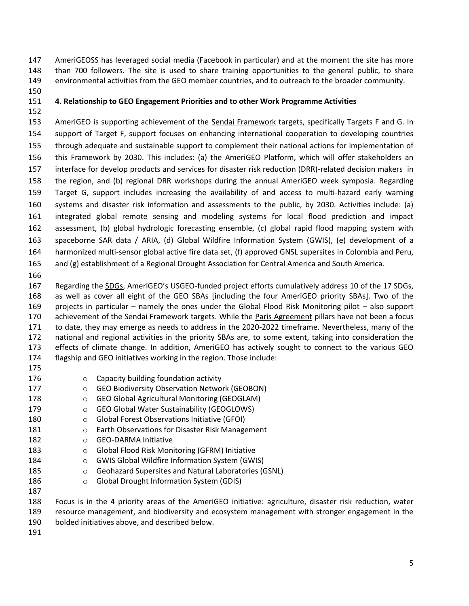AmeriGEOSS has leveraged social media (Facebook in particular) and at the moment the site has more than 700 followers. The site is used to share training opportunities to the general public, to share environmental activities from the GEO member countries, and to outreach to the broader community.

## **4. Relationship to GEO Engagement Priorities and to other Work Programme Activities**

153 AmeriGEO is supporting achievement of the Sendai Framework targets, specifically Targets F and G. In support of Target F, support focuses on enhancing international cooperation to developing countries through adequate and sustainable support to complement their national actions for implementation of this Framework by 2030. This includes: (a) the AmeriGEO Platform, which will offer stakeholders an interface for develop products and services for disaster risk reduction (DRR)-related decision makers in the region, and (b) regional DRR workshops during the annual AmeriGEO week symposia. Regarding Target G, support includes increasing the availability of and access to multi-hazard early warning systems and disaster risk information and assessments to the public, by 2030. Activities include: (a) integrated global remote sensing and modeling systems for local flood prediction and impact assessment, (b) global hydrologic forecasting ensemble, (c) global rapid flood mapping system with spaceborne SAR data / ARIA, (d) Global Wildfire Information System (GWIS), (e) development of a harmonized multi-sensor global active fire data set, (f) approved GNSL supersites in Colombia and Peru, and (g) establishment of a Regional Drought Association for Central America and South America.

 Regarding the SDGs, AmeriGEO's USGEO-funded project efforts cumulatively address 10 of the 17 SDGs, as well as cover all eight of the GEO SBAs [including the four AmeriGEO priority SBAs]. Two of the projects in particular – namely the ones under the Global Flood Risk Monitoring pilot – also support achievement of the Sendai Framework targets. While the Paris Agreement pillars have not been a focus to date, they may emerge as needs to address in the 2020-2022 timeframe. Nevertheless, many of the national and regional activities in the priority SBAs are, to some extent, taking into consideration the effects of climate change. In addition, AmeriGEO has actively sought to connect to the various GEO flagship and GEO initiatives working in the region. Those include:

| 176           | $\Omega$   | Capacity building foundation activity                 |
|---------------|------------|-------------------------------------------------------|
| 177           | $\circ$    | <b>GEO Biodiversity Observation Network (GEOBON)</b>  |
| 178           | $\circ$    | <b>GEO Global Agricultural Monitoring (GEOGLAM)</b>   |
| 179           | $\bigcirc$ | <b>GEO Global Water Sustainability (GEOGLOWS)</b>     |
| 180           | $\bigcirc$ | <b>Global Forest Observations Initiative (GFOI)</b>   |
| 181           | ◯          | Earth Observations for Disaster Risk Management       |
| 182           | ∩          | <b>GEO-DARMA Initiative</b>                           |
| 183           | $\circ$    | Global Flood Risk Monitoring (GFRM) Initiative        |
| 184           | ◯          | <b>GWIS Global Wildfire Information System (GWIS)</b> |
| 185           | $\circ$    | Geohazard Supersites and Natural Laboratories (GSNL)  |
| 186           | $\Omega$   | <b>Global Drought Information System (GDIS)</b>       |
| 187           |            |                                                       |
| $\sim$ $\sim$ |            |                                                       |

 Focus is in the 4 priority areas of the AmeriGEO initiative: agriculture, disaster risk reduction, water resource management, and biodiversity and ecosystem management with stronger engagement in the bolded initiatives above, and described below.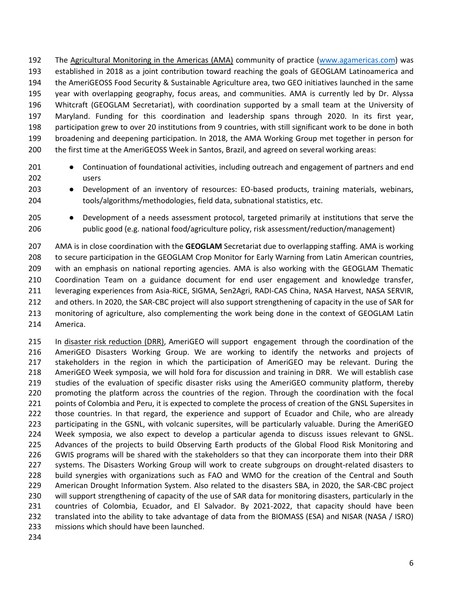The Agricultural Monitoring in the Americas (AMA) community of practice [\(www.agamericas.com\)](https://mail02.ndc.nasa.gov/owa/redir.aspx?C=U_01k_29glPCTEyowDDf4kiS7uQVpRvZPV24LwXEu0acQ5fTg5DWCA..&URL=http%3a%2f%2fwww.agamericas.com) was established in 2018 as a joint contribution toward reaching the goals of GEOGLAM Latinoamerica and the AmeriGEOSS Food Security & Sustainable Agriculture area, two GEO initiatives launched in the same year with overlapping geography, focus areas, and communities. AMA is currently led by Dr. Alyssa Whitcraft (GEOGLAM Secretariat), with coordination supported by a small team at the University of Maryland. Funding for this coordination and leadership spans through 2020. In its first year, participation grew to over 20 institutions from 9 countries, with still significant work to be done in both broadening and deepening participation. In 2018, the AMA Working Group met together in person for the first time at the AmeriGEOSS Week in Santos, Brazil, and agreed on several working areas:

- Continuation of foundational activities, including outreach and engagement of partners and end users
- Development of an inventory of resources: EO-based products, training materials, webinars, tools/algorithms/methodologies, field data, subnational statistics, etc.
- Development of a needs assessment protocol, targeted primarily at institutions that serve the public good (e.g. national food/agriculture policy, risk assessment/reduction/management)

 AMA is in close coordination with the **GEOGLAM** Secretariat due to overlapping staffing. AMA is working to secure participation in the GEOGLAM Crop Monitor for Early Warning from Latin American countries, with an emphasis on national reporting agencies. AMA is also working with the GEOGLAM Thematic Coordination Team on a guidance document for end user engagement and knowledge transfer, leveraging experiences from Asia-RiCE, SIGMA, Sen2Agri, RADI-CAS China, NASA Harvest, NASA SERVIR, and others. In 2020, the SAR-CBC project will also support strengthening of capacity in the use of SAR for monitoring of agriculture, also complementing the work being done in the context of GEOGLAM Latin America.

 In disaster risk reduction (DRR), AmeriGEO will support engagement through the coordination of the AmeriGEO Disasters Working Group. We are working to identify the networks and projects of stakeholders in the region in which the participation of AmeriGEO may be relevant. During the AmeriGEO Week symposia, we will hold fora for discussion and training in DRR. We will establish case studies of the evaluation of specific disaster risks using the AmeriGEO community platform, thereby promoting the platform across the countries of the region. Through the coordination with the focal 221 points of Colombia and Peru, it is expected to complete the process of creation of the GNSL Supersites in those countries. In that regard, the experience and support of Ecuador and Chile, who are already participating in the GSNL, with volcanic supersites, will be particularly valuable. During the AmeriGEO Week symposia, we also expect to develop a particular agenda to discuss issues relevant to GNSL. Advances of the projects to build Observing Earth products of the Global Flood Risk Monitoring and GWIS programs will be shared with the stakeholders so that they can incorporate them into their DRR systems. The Disasters Working Group will work to create subgroups on drought-related disasters to build synergies with organizations such as FAO and WMO for the creation of the Central and South American Drought Information System. Also related to the disasters SBA, in 2020, the SAR-CBC project will support strengthening of capacity of the use of SAR data for monitoring disasters, particularly in the countries of Colombia, Ecuador, and El Salvador. By 2021-2022, that capacity should have been translated into the ability to take advantage of data from the BIOMASS (ESA) and NISAR (NASA / ISRO) missions which should have been launched.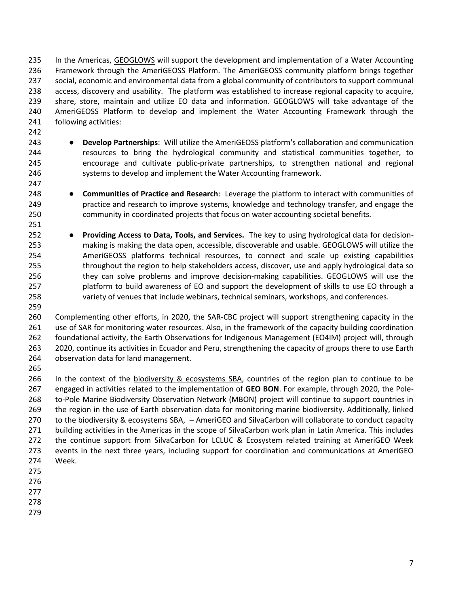In the Americas, GEOGLOWS will support the development and implementation of a Water Accounting Framework through the AmeriGEOSS Platform. The AmeriGEOSS community platform brings together social, economic and environmental data from a global community of contributors to support communal access, discovery and usability. The platform was established to increase regional capacity to acquire, share, store, maintain and utilize EO data and information. GEOGLOWS will take advantage of the AmeriGEOSS Platform to develop and implement the Water Accounting Framework through the following activities:

- 
- 

 ● **Develop Partnerships**: Will utilize the AmeriGEOSS platform's collaboration and communication 244 resources to bring the hydrological community and statistical communities together, to encourage and cultivate public-private partnerships, to strengthen national and regional systems to develop and implement the Water Accounting framework.

 ● **Communities of Practice and Research**: Leverage the platform to interact with communities of practice and research to improve systems, knowledge and technology transfer, and engage the community in coordinated projects that focus on water accounting societal benefits.

 ● **Providing Access to Data, Tools, and Services.** The key to using hydrological data for decision- making is making the data open, accessible, discoverable and usable. GEOGLOWS will utilize the AmeriGEOSS platforms technical resources, to connect and scale up existing capabilities 255 throughout the region to help stakeholders access, discover, use and apply hydrological data so they can solve problems and improve decision-making capabilities. GEOGLOWS will use the platform to build awareness of EO and support the development of skills to use EO through a variety of venues that include webinars, technical seminars, workshops, and conferences.

 Complementing other efforts, in 2020, the SAR-CBC project will support strengthening capacity in the use of SAR for monitoring water resources. Also, in the framework of the capacity building coordination foundational activity, the Earth Observations for Indigenous Management (EO4IM) project will, through 2020, continue its activities in Ecuador and Peru, strengthening the capacity of groups there to use Earth observation data for land management.

266 In the context of the biodiversity & ecosystems SBA, countries of the region plan to continue to be engaged in activities related to the implementation of **GEO BON**. For example, through 2020, the Pole- to-Pole Marine Biodiversity Observation Network (MBON) project will continue to support countries in the region in the use of Earth observation data for monitoring marine biodiversity. Additionally, linked to the biodiversity & ecosystems SBA, – AmeriGEO and SilvaCarbon will collaborate to conduct capacity building activities in the Americas in the scope of SilvaCarbon work plan in Latin America. This includes the continue support from SilvaCarbon for LCLUC & Ecosystem related training at AmeriGEO Week events in the next three years, including support for coordination and communications at AmeriGEO Week.

- 
- 
- 
- 
-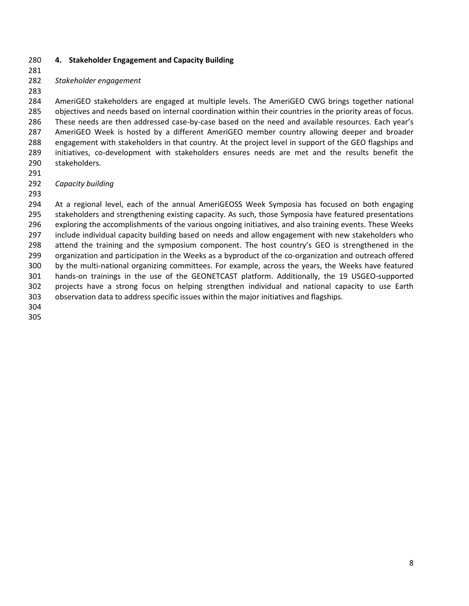#### **4. Stakeholder Engagement and Capacity Building**

#### *Stakeholder engagement*

 AmeriGEO stakeholders are engaged at multiple levels. The AmeriGEO CWG brings together national objectives and needs based on internal coordination within their countries in the priority areas of focus. These needs are then addressed case-by-case based on the need and available resources. Each year's AmeriGEO Week is hosted by a different AmeriGEO member country allowing deeper and broader engagement with stakeholders in that country. At the project level in support of the GEO flagships and initiatives, co-development with stakeholders ensures needs are met and the results benefit the stakeholders.

#### *Capacity building*

 At a regional level, each of the annual AmeriGEOSS Week Symposia has focused on both engaging 295 stakeholders and strengthening existing capacity. As such, those Symposia have featured presentations exploring the accomplishments of the various ongoing initiatives, and also training events. These Weeks include individual capacity building based on needs and allow engagement with new stakeholders who attend the training and the symposium component. The host country's GEO is strengthened in the organization and participation in the Weeks as a byproduct of the co-organization and outreach offered by the multi-national organizing committees. For example, across the years, the Weeks have featured hands-on trainings in the use of the GEONETCAST platform. Additionally, the 19 USGEO-supported projects have a strong focus on helping strengthen individual and national capacity to use Earth observation data to address specific issues within the major initiatives and flagships.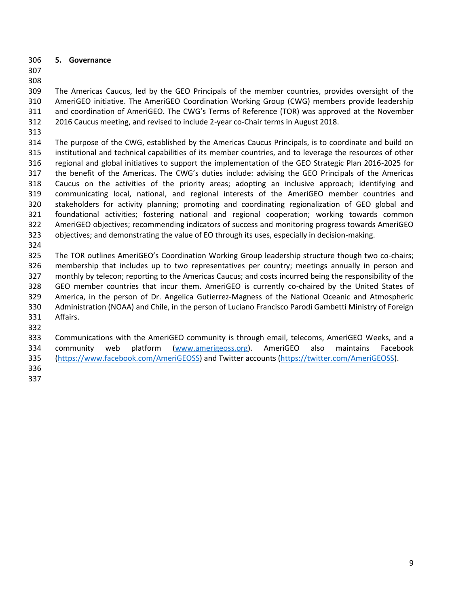**5. Governance**

 The Americas Caucus, led by the GEO Principals of the member countries, provides oversight of the AmeriGEO initiative. The AmeriGEO Coordination Working Group (CWG) members provide leadership and coordination of AmeriGEO. The CWG's Terms of Reference (TOR) was approved at the November 2016 Caucus meeting, and revised to include 2-year co-Chair terms in August 2018.

 The purpose of the CWG, established by the Americas Caucus Principals, is to coordinate and build on institutional and technical capabilities of its member countries, and to leverage the resources of other regional and global initiatives to support the implementation of the GEO Strategic Plan 2016-2025 for the benefit of the Americas. The CWG's duties include: advising the GEO Principals of the Americas Caucus on the activities of the priority areas; adopting an inclusive approach; identifying and communicating local, national, and regional interests of the AmeriGEO member countries and stakeholders for activity planning; promoting and coordinating regionalization of GEO global and foundational activities; fostering national and regional cooperation; working towards common AmeriGEO objectives; recommending indicators of success and monitoring progress towards AmeriGEO objectives; and demonstrating the value of EO through its uses, especially in decision-making.

 The TOR outlines AmeriGEO's Coordination Working Group leadership structure though two co-chairs; membership that includes up to two representatives per country; meetings annually in person and monthly by telecon; reporting to the Americas Caucus; and costs incurred being the responsibility of the GEO member countries that incur them. AmeriGEO is currently co-chaired by the United States of America, in the person of Dr. Angelica Gutierrez-Magness of the National Oceanic and Atmospheric Administration (NOAA) and Chile, in the person of Luciano Francisco Parodi Gambetti Ministry of Foreign Affairs.

 Communications with the AmeriGEO community is through email, telecoms, AmeriGEO Weeks, and a 334 community web platform [\(www.amerigeoss.org\)](http://www.amerigeoss.org/). AmeriGEO also maintains Facebook [\(https://www.facebook.com/AmeriGEOSS\)](https://www.facebook.com/AmeriGEOSS) and Twitter accounts [\(https://twitter.com/AmeriGEOSS\)](https://twitter.com/AmeriGEOSS).

- 
-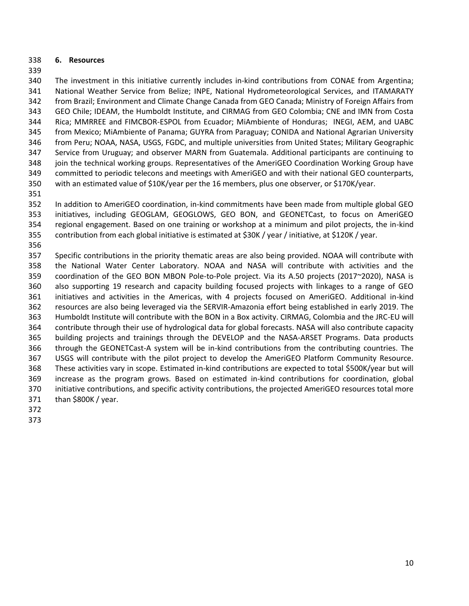#### **6. Resources**

 The investment in this initiative currently includes in-kind contributions from CONAE from Argentina; National Weather Service from Belize; INPE, National Hydrometeorological Services, and ITAMARATY from Brazil; Environment and Climate Change Canada from GEO Canada; Ministry of Foreign Affairs from GEO Chile; IDEAM, the Humboldt Institute, and CIRMAG from GEO Colombia; CNE and IMN from Costa Rica; MMRREE and FIMCBOR-ESPOL from Ecuador; MiAmbiente of Honduras; INEGI, AEM, and UABC from Mexico; MiAmbiente of Panama; GUYRA from Paraguay; CONIDA and National Agrarian University from Peru; NOAA, NASA, USGS, FGDC, and multiple universities from United States; Military Geographic Service from Uruguay; and observer MARN from Guatemala. Additional participants are continuing to join the technical working groups. Representatives of the AmeriGEO Coordination Working Group have committed to periodic telecons and meetings with AmeriGEO and with their national GEO counterparts, with an estimated value of \$10K/year per the 16 members, plus one observer, or \$170K/year.

 In addition to AmeriGEO coordination, in-kind commitments have been made from multiple global GEO initiatives, including GEOGLAM, GEOGLOWS, GEO BON, and GEONETCast, to focus on AmeriGEO regional engagement. Based on one training or workshop at a minimum and pilot projects, the in-kind contribution from each global initiative is estimated at \$30K / year / initiative, at \$120K / year.

 Specific contributions in the priority thematic areas are also being provided. NOAA will contribute with the National Water Center Laboratory. NOAA and NASA will contribute with activities and the coordination of the GEO BON MBON Pole-to-Pole project. Via its A.50 projects (2017~2020), NASA is also supporting 19 research and capacity building focused projects with linkages to a range of GEO initiatives and activities in the Americas, with 4 projects focused on AmeriGEO. Additional in-kind resources are also being leveraged via the SERVIR-Amazonia effort being established in early 2019. The Humboldt Institute will contribute with the BON in a Box activity. CIRMAG, Colombia and the JRC-EU will contribute through their use of hydrological data for global forecasts. NASA will also contribute capacity building projects and trainings through the DEVELOP and the NASA-ARSET Programs. Data products through the GEONETCast-A system will be in-kind contributions from the contributing countries. The USGS will contribute with the pilot project to develop the AmeriGEO Platform Community Resource. These activities vary in scope. Estimated in-kind contributions are expected to total \$500K/year but will increase as the program grows. Based on estimated in-kind contributions for coordination, global initiative contributions, and specific activity contributions, the projected AmeriGEO resources total more than \$800K / year.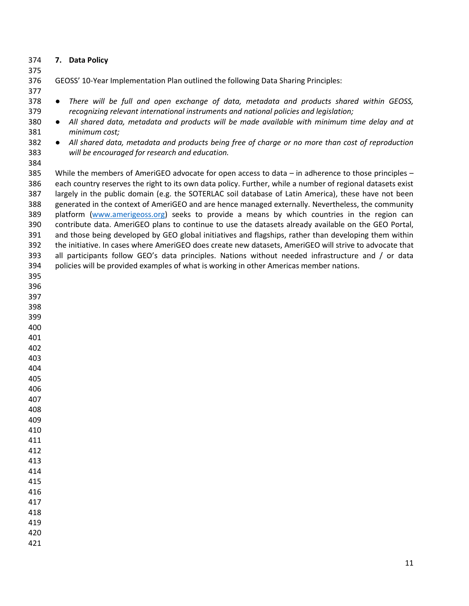### **7. Data Policy**

GEOSS' 10-Year Implementation Plan outlined the following Data Sharing Principles:

- ● *There will be full and open exchange of data, metadata and products shared within GEOSS, recognizing relevant international instruments and national policies and legislation;*
- *All shared data, metadata and products will be made available with minimum time delay and at minimum cost;*
- *All shared data, metadata and products being free of charge or no more than cost of reproduction will be encouraged for research and education.*
- 

 While the members of AmeriGEO advocate for open access to data – in adherence to those principles – each country reserves the right to its own data policy. Further, while a number of regional datasets exist largely in the public domain (e.g. the SOTERLAC soil database of Latin America), these have not been generated in the context of AmeriGEO and are hence managed externally. Nevertheless, the community 389 platform [\(www.amerigeoss.org\)](http://www.amerigeoss.org/) seeks to provide a means by which countries in the region can contribute data. AmeriGEO plans to continue to use the datasets already available on the GEO Portal, and those being developed by GEO global initiatives and flagships, rather than developing them within the initiative. In cases where AmeriGEO does create new datasets, AmeriGEO will strive to advocate that all participants follow GEO's data principles. Nations without needed infrastructure and / or data policies will be provided examples of what is working in other Americas member nations.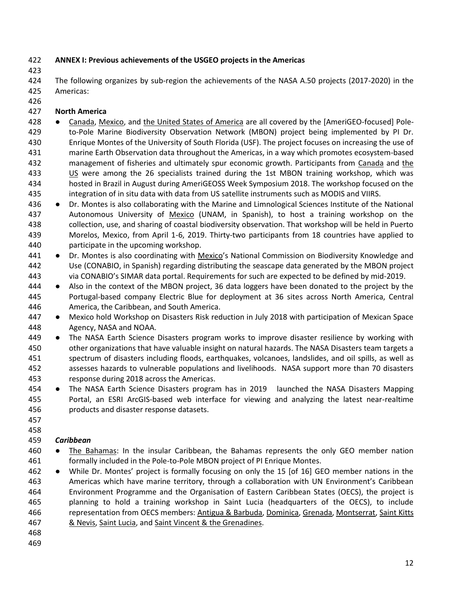## **ANNEX I: Previous achievements of the USGEO projects in the Americas**

 The following organizes by sub-region the achievements of the NASA A.50 projects (2017-2020) in the Americas:

## **North America**

- 428 Canada, Mexico, and the United States of America are all covered by the [AmeriGEO-focused] Pole- to-Pole Marine Biodiversity Observation Network (MBON) project being implemented by PI Dr. Enrique Montes of the University of South Florida (USF). The project focuses on increasing the use of marine Earth Observation data throughout the Americas, in a way which promotes ecosystem-based management of fisheries and ultimately spur economic growth. Participants from Canada and the US were among the 26 specialists trained during the 1st MBON training workshop, which was hosted in Brazil in August during AmeriGEOSS Week Symposium 2018. The workshop focused on the integration of in situ data with data from US satellite instruments such as MODIS and VIIRS.
- 436 Dr. Montes is also collaborating with the Marine and Limnological Sciences Institute of the National 437 Autonomous University of Mexico (UNAM, in Spanish), to host a training workshop on the collection, use, and sharing of coastal biodiversity observation. That workshop will be held in Puerto Morelos, Mexico, from April 1-6, 2019. Thirty-two participants from 18 countries have applied to participate in the upcoming workshop.
- 441 Dr. Montes is also coordinating with Mexico's National Commission on Biodiversity Knowledge and Use (CONABIO, in Spanish) regarding distributing the seascape data generated by the MBON project via CONABIO's SIMAR data portal. Requirements for such are expected to be defined by mid-2019.
- 444 Also in the context of the MBON project, 36 data loggers have been donated to the project by the Portugal-based company Electric Blue for deployment at 36 sites across North America, Central America, the Caribbean, and South America.
- 447 Mexico hold Workshop on Disasters Risk reduction in July 2018 with participation of Mexican Space Agency, NASA and NOAA.
- 449 The NASA Earth Science Disasters program works to improve disaster resilience by working with other organizations that have valuable insight on natural hazards. The NASA Disasters team targets a spectrum of disasters including floods, earthquakes, volcanoes, landslides, and oil spills, as well as assesses hazards to vulnerable populations and livelihoods. NASA support more than 70 disasters response during 2018 across the Americas.
- 454 The NASA Earth Science Disasters program has in 2019 launched the NASA Disasters Mapping Portal, an ESRI ArcGIS-based web interface for viewing and analyzing the latest near-realtime products and disaster response datasets.
- 

## *Caribbean*

- The Bahamas: In the insular Caribbean, the Bahamas represents the only GEO member nation formally included in the Pole-to-Pole MBON project of PI Enrique Montes.
- While Dr. Montes' project is formally focusing on only the 15 [of 16] GEO member nations in the Americas which have marine territory, through a collaboration with UN Environment's Caribbean Environment Programme and the Organisation of Eastern Caribbean States (OECS), the project is planning to hold a training workshop in Saint Lucia (headquarters of the OECS), to include representation from OECS members: Antigua & Barbuda, Dominica, Grenada, Montserrat, Saint Kitts & Nevis, Saint Lucia, and Saint Vincent & the Grenadines.
- 
-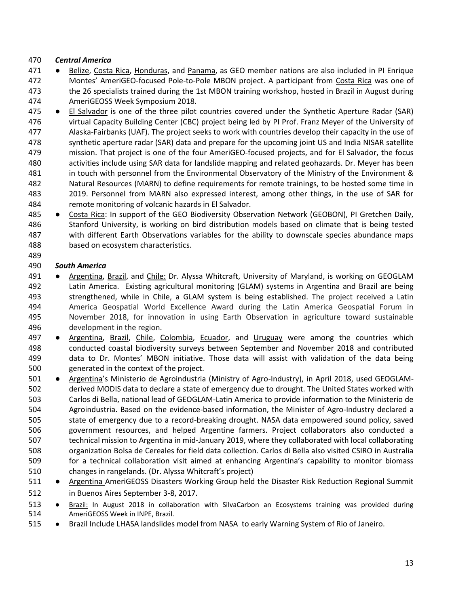## *Central America*

- 471 Belize, Costa Rica, Honduras, and Panama, as GEO member nations are also included in PI Enrique Montes' AmeriGEO-focused Pole-to-Pole MBON project. A participant from Costa Rica was one of the 26 specialists trained during the 1st MBON training workshop, hosted in Brazil in August during AmeriGEOSS Week Symposium 2018.
- 475 El Salvador is one of the three pilot countries covered under the Synthetic Aperture Radar (SAR) virtual Capacity Building Center (CBC) project being led by PI Prof. Franz Meyer of the University of Alaska-Fairbanks (UAF). The project seeks to work with countries develop their capacity in the use of synthetic aperture radar (SAR) data and prepare for the upcoming joint US and India NISAR satellite mission. That project is one of the four AmeriGEO-focused projects, and for El Salvador, the focus activities include using SAR data for landslide mapping and related geohazards. Dr. Meyer has been in touch with personnel from the Environmental Observatory of the Ministry of the Environment & Natural Resources (MARN) to define requirements for remote trainings, to be hosted some time in 2019. Personnel from MARN also expressed interest, among other things, in the use of SAR for remote monitoring of volcanic hazards in El Salvador.
- 485 Costa Rica: In support of the GEO Biodiversity Observation Network (GEOBON), PI Gretchen Daily, Stanford University, is working on bird distribution models based on climate that is being tested with different Earth Observations variables for the ability to downscale species abundance maps based on ecosystem characteristics.

### *South America*

- 491 Argentina, Brazil, and Chile: Dr. Alyssa Whitcraft, University of Maryland, is working on GEOGLAM Latin America. Existing agricultural monitoring (GLAM) systems in Argentina and Brazil are being strengthened, while in Chile, a GLAM system is being established. The project received a Latin America Geospatial World Excellence Award during the Latin America Geospatial Forum in November 2018, for innovation in using Earth Observation in agriculture toward sustainable development in the region.
- 497 Argentina, Brazil, Chile, Colombia, Ecuador, and Uruguay were among the countries which conducted coastal biodiversity surveys between September and November 2018 and contributed data to Dr. Montes' MBON initiative. Those data will assist with validation of the data being generated in the context of the project.
- Argentina's Ministerio de Agroindustria (Ministry of Agro-Industry), in April 2018, used GEOGLAM- derived MODIS data to declare a state of emergency due to drought. The United States worked with Carlos di Bella, national lead of GEOGLAM-Latin America to provide information to the Ministerio de Agroindustria. Based on the evidence-based information, the Minister of Agro-Industry declared a state of emergency due to a record-breaking drought. NASA data empowered sound policy, saved government resources, and helped Argentine farmers. Project collaborators also conducted a technical mission to Argentina in mid-January 2019, where they collaborated with local collaborating organization Bolsa de Cereales for field data collection. Carlos di Bella also visited CSIRO in Australia for a technical collaboration visit aimed at enhancing Argentina's capability to monitor biomass changes in rangelands. (Dr. Alyssa Whitcraft's project)
- 511 Argentina AmeriGEOSS Disasters Working Group held the Disaster Risk Reduction Regional Summit in Buenos Aires September 3-8, 2017.
- 513 . Brazil: In August 2018 in collaboration with SilvaCarbon an Ecosystems training was provided during AmeriGEOSS Week in INPE, Brazil.
- Brazil Include LHASA landslides model from NASA to early Warning System of Rio of Janeiro.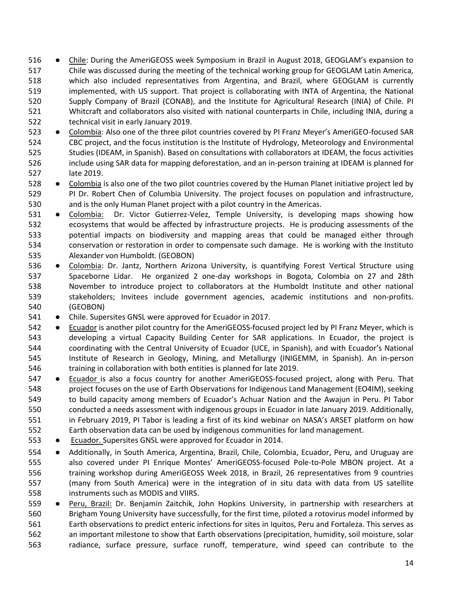- 516 Chile: During the AmeriGEOSS week Symposium in Brazil in August 2018, GEOGLAM's expansion to Chile was discussed during the meeting of the technical working group for GEOGLAM Latin America, which also included representatives from Argentina, and Brazil, where GEOGLAM is currently implemented, with US support. That project is collaborating with INTA of Argentina, the National Supply Company of Brazil (CONAB), and the Institute for Agricultural Research (INIA) of Chile. PI Whitcraft and collaborators also visited with national counterparts in Chile, including INIA, during a technical visit in early January 2019.
- Colombia: Also one of the three pilot countries covered by PI Franz Meyer's AmeriGEO-focused SAR CBC project, and the focus institution is the Institute of Hydrology, Meteorology and Environmental Studies (IDEAM, in Spanish). Based on consultations with collaborators at IDEAM, the focus activities include using SAR data for mapping deforestation, and an in-person training at IDEAM is planned for late 2019.
- Colombia is also one of the two pilot countries covered by the Human Planet initiative project led by PI Dr. Robert Chen of Columbia University. The project focuses on population and infrastructure, and is the only Human Planet project with a pilot country in the Americas.
- 531 . Colombia: Dr. Victor Gutierrez-Velez, Temple University, is developing maps showing how ecosystems that would be affected by infrastructure projects. He is producing assessments of the potential impacts on biodiversity and mapping areas that could be managed either through conservation or restoration in order to compensate such damage. He is working with the Instituto Alexander von Humboldt. (GEOBON)
- Colombia: Dr. Jantz, Northern Arizona University, is quantifying Forest Vertical Structure using Spaceborne Lidar. He organized 2 one-day workshops in Bogota, Colombia on 27 and 28th November to introduce project to collaborators at the Humboldt Institute and other national stakeholders; Invitees include government agencies, academic institutions and non-profits. (GEOBON)
- 541 Chile. Supersites GNSL were approved for Ecuador in 2017.
- Ecuador is another pilot country for the AmeriGEOSS-focused project led by PI Franz Meyer, which is developing a virtual Capacity Building Center for SAR applications. In Ecuador, the project is coordinating with the Central University of Ecuador (UCE, in Spanish), and with Ecuador's National Institute of Research in Geology, Mining, and Metallurgy (INIGEMM, in Spanish). An in-person training in collaboration with both entities is planned for late 2019.
- 547 Ecuador is also a focus country for another AmeriGEOSS-focused project, along with Peru. That project focuses on the use of Earth Observations for Indigenous Land Management (EO4IM), seeking to build capacity among members of Ecuador's Achuar Nation and the Awajun in Peru. PI Tabor conducted a needs assessment with indigenous groups in Ecuador in late January 2019. Additionally, in February 2019, PI Tabor is leading a first of its kind webinar on NASA's ARSET platform on how Earth observation data can be used by indigenous communities for land management.
- Ecuador. Supersites GNSL were approved for Ecuador in 2014.
- Additionally, in South America, Argentina, Brazil, Chile, Colombia, Ecuador, Peru, and Uruguay are also covered under PI Enrique Montes' AmeriGEOSS-focused Pole-to-Pole MBON project. At a training workshop during AmeriGEOSS Week 2018, in Brazil, 26 representatives from 9 countries (many from South America) were in the integration of in situ data with data from US satellite instruments such as MODIS and VIIRS.
- Peru, Brazil: Dr. Benjamin Zaitchik, John Hopkins University, in partnership with researchers at Brigham Young University have successfully, for the first time, piloted a rotovirus model informed by Earth observations to predict enteric infections for sites in Iquitos, Peru and Fortaleza. This serves as an important milestone to show that Earth observations (precipitation, humidity, soil moisture, solar radiance, surface pressure, surface runoff, temperature, wind speed can contribute to the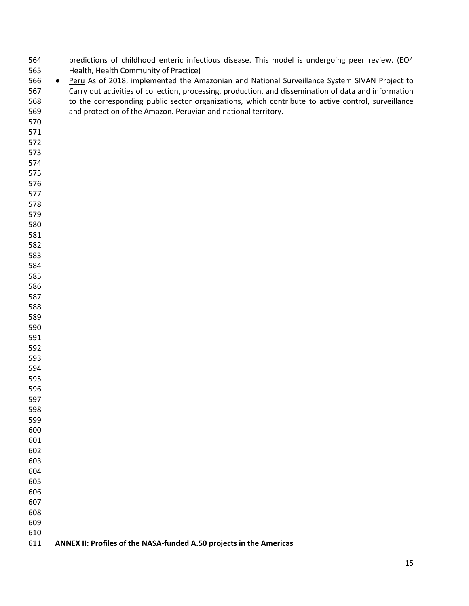| 564 |           | predictions of childhood enteric infectious disease. This model is undergoing peer review. (EO4       |
|-----|-----------|-------------------------------------------------------------------------------------------------------|
| 565 |           | Health, Health Community of Practice)                                                                 |
| 566 | $\bullet$ | Peru As of 2018, implemented the Amazonian and National Surveillance System SIVAN Project to          |
| 567 |           | Carry out activities of collection, processing, production, and dissemination of data and information |
| 568 |           | to the corresponding public sector organizations, which contribute to active control, surveillance    |
| 569 |           | and protection of the Amazon. Peruvian and national territory.                                        |
| 570 |           |                                                                                                       |
| 571 |           |                                                                                                       |
| 572 |           |                                                                                                       |
| 573 |           |                                                                                                       |
| 574 |           |                                                                                                       |
| 575 |           |                                                                                                       |
| 576 |           |                                                                                                       |
| 577 |           |                                                                                                       |
| 578 |           |                                                                                                       |
|     |           |                                                                                                       |
| 579 |           |                                                                                                       |
| 580 |           |                                                                                                       |
| 581 |           |                                                                                                       |
| 582 |           |                                                                                                       |
| 583 |           |                                                                                                       |
| 584 |           |                                                                                                       |
| 585 |           |                                                                                                       |
| 586 |           |                                                                                                       |
| 587 |           |                                                                                                       |
| 588 |           |                                                                                                       |
| 589 |           |                                                                                                       |
| 590 |           |                                                                                                       |
| 591 |           |                                                                                                       |
| 592 |           |                                                                                                       |
| 593 |           |                                                                                                       |
| 594 |           |                                                                                                       |
| 595 |           |                                                                                                       |
| 596 |           |                                                                                                       |
| 597 |           |                                                                                                       |
| 598 |           |                                                                                                       |
| 599 |           |                                                                                                       |
| 600 |           |                                                                                                       |
| 601 |           |                                                                                                       |
| 602 |           |                                                                                                       |
| 603 |           |                                                                                                       |
| 604 |           |                                                                                                       |
| 605 |           |                                                                                                       |
| 606 |           |                                                                                                       |
| 607 |           |                                                                                                       |
| 608 |           |                                                                                                       |
| 609 |           |                                                                                                       |
| 610 |           |                                                                                                       |
| 611 |           | ANNEX II: Profiles of the NASA-funded A.50 projects in the Americas                                   |